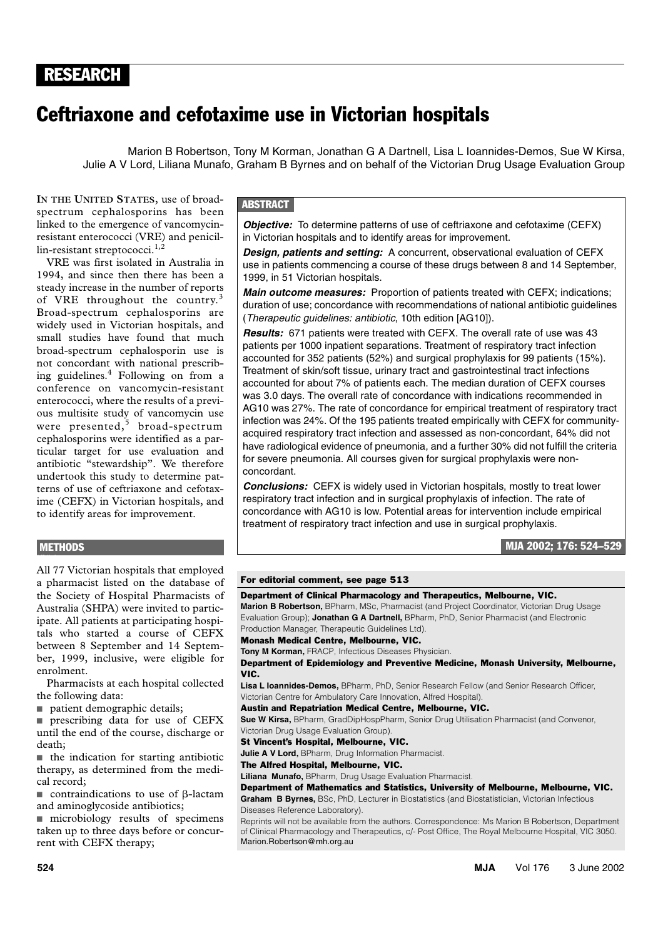## RESEARCH RESEARCH

# Ceftriaxone and cefotaxime use in Victorian hospitals

Marion B Robertson, Tony M Korman, Jonathan G A Dartnell, Lisa L Ioannides-Demos, Sue W Kirsa, Julie A V Lord, Liliana Munafo, Graham B Byrnes and on behalf of the Victorian Drug Usage Evaluation Group

resistant enterococci (VRE) and penicil- $\lim$ -resistant streptococci.<sup>1,2</sup> **IN THE UNITED STATES**, use of broadspectrum cephalosporins has been linked to the emergence of vancomycin-

obotant streptoeseen.<br>E was first isolated in Australia in VRE was first isolated in Australia in 1994, and since then there has been a steady increase in the number of reports of VRE throughout the country.<sup>3</sup> Broad-spectrum cephalosporins are widely used in Victorian hospitals, and small studies have found that much broad-spectrum cephalosporin use is not concordant with national prescribing guidelines.<sup>4</sup> Following on from a conference on vancomycin-resistant enterococci, where the results of a previous multisite study of vancomycin use were presented,<sup>5</sup> broad-spectrum cephalosporins were identified as a particular target for use evaluation and antibiotic "stewardship". We therefore undertook this study to determine patterns of use of ceftriaxone and cefotaxime (CEFX) in Victorian hospitals, and to identify areas for improvement.

#### **ABSTRACT**

*Objective:* To determine patterns of use of ceftriaxone and cefotaxime (CEFX) in Victorian hospitals and to identify areas for improvement.

*Design, patients and setting:* A concurrent, observational evaluation of CEFX use in patients commencing a course of these drugs between 8 and 14 September, 1999, in 51 Victorian hospitals.

*Main outcome measures:* Proportion of patients treated with CEFX; indications; duration of use; concordance with recommendations of national antibiotic guidelines (Therapeutic guidelines: antibiotic, 10th edition [AG10]).

*Results:* 671 patients were treated with CEFX. The overall rate of use was 43 patients per 1000 inpatient separations. Treatment of respiratory tract infection accounted for 352 patients (52%) and surgical prophylaxis for 99 patients (15%). Treatment of skin/soft tissue, urinary tract and gastrointestinal tract infections accounted for about 7% of patients each. The median duration of CEFX courses was 3.0 days. The overall rate of concordance with indications recommended in AG10 was 27%. The rate of concordance for empirical treatment of respiratory tract infection was 24%. Of the 195 patients treated empirically with CEFX for communityacquired respiratory tract infection and assessed as non-concordant, 64% did not have radiological evidence of pneumonia, and a further 30% did not fulfill the criteria for severe pneumonia. All courses given for surgical prophylaxis were nonconcordant.

*Conclusions:* CEFX is widely used in Victorian hospitals, mostly to treat lower respiratory tract infection and in surgical prophylaxis of infection. The rate of concordance with AG10 is low. Potential areas for intervention include empirical treatment of respiratory tract infection and use in surgical prophylaxis.

MJA 2002; 176: 524–529

#### **METHODS**

All 77 Victorian hospitals that employed a pharmacist listed on the database of the Society of Hospital Pharmacists of Australia (SHPA) were invited to participate. All patients at participating hospitals who started a course of CEFX between 8 September and 14 September, 1999, inclusive, were eligible for enrolment.

Pharmacists at each hospital collected the following data:

■ patient demographic details;

■ prescribing data for use of CEFX until the end of the course, discharge or death;

■ the indication for starting antibiotic therapy, as determined from the medical record;

 $\blacksquare$  contraindications to use of  $\beta$ -lactam and aminoglycoside antibiotics;

■ microbiology results of specimens taken up to three days before or concurrent with CEFX therapy;

#### For editorial comment, see page 513

#### Department of Clinical Pharmacology and Therapeutics, Melbourne, VIC.

**Marion B Robertson,** BPharm, MSc, Pharmacist (and Project Coordinator, Victorian Drug Usage Evaluation Group); **Jonathan G A Dartnell,** BPharm, PhD, Senior Pharmacist (and Electronic Production Manager, Therapeutic Guidelines Ltd).

Monash Medical Centre, Melbourne, VIC.

**Tony M Korman,** FRACP, Infectious Diseases Physician.

Department of Epidemiology and Preventive Medicine, Monash University, Melbourne, VIC.

**Lisa L Ioannides-Demos,** BPharm, PhD, Senior Research Fellow (and Senior Research Officer, Victorian Centre for Ambulatory Care Innovation, Alfred Hospital).

Austin and Repatriation Medical Centre, Melbourne, VIC.

**Sue W Kirsa,** BPharm, GradDipHospPharm, Senior Drug Utilisation Pharmacist (and Convenor, Victorian Drug Usage Evaluation Group).

St Vincent's Hospital, Melbourne, VIC.

**Julie A V Lord, BPharm, Drug Information Pharmacist.** 

The Alfred Hospital, Melbourne, VIC.

**Liliana Munafo,** BPharm, Drug Usage Evaluation Pharmacist.

Department of Mathematics and Statistics, University of Melbourne, Melbourne, VIC. **Graham B Byrnes,** BSc, PhD, Lecturer in Biostatistics (and Biostatistician, Victorian Infectious

Diseases Reference Laboratory). Reprints will not be available from the authors. Correspondence: Ms Marion B Robertson, Department of Clinical Pharmacology and Therapeutics, c/- Post Office, The Royal Melbourne Hospital, VIC 3050. Marion.Robertson@mh.org.au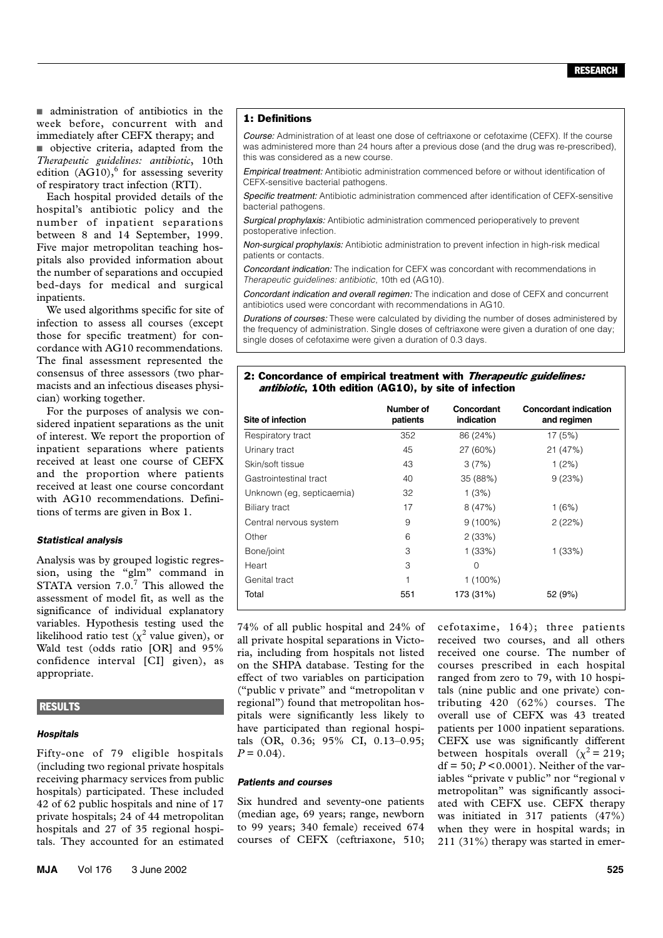■ administration of antibiotics in the week before, concurrent with and immediately after CEFX therapy; and ■ objective criteria, adapted from the *Therapeutic guidelines: antibiotic*, 10th edition  $(AG10)$ ,  $6$  for assessing severity of respiratory tract infection (RTI).

Each hospital provided details of the hospital's antibiotic policy and the number of inpatient separations between 8 and 14 September, 1999. Five major metropolitan teaching hospitals also provided information about the number of separations and occupied bed-days for medical and surgical inpatients.

We used algorithms specific for site of infection to assess all courses (except those for specific treatment) for concordance with AG10 recommendations. The final assessment represented the consensus of three assessors (two pharmacists and an infectious diseases physician) working together.

For the purposes of analysis we considered inpatient separations as the unit of interest. We report the proportion of inpatient separations where patients received at least one course of CEFX and the proportion where patients received at least one course concordant with AG10 recommendations. Definitions of terms are given in Box 1.

#### *Statistical analysis*

Analysis was by grouped logistic regression, using the "glm" command in STATA version  $7.0$ .<sup>7</sup> This allowed the assessment of model fit, as well as the significance of individual explanatory variables. Hypothesis testing used the likelihood ratio test ( $\chi^2$  value given), or Wald test (odds ratio [OR] and 95% confidence interval [CI] given), as appropriate.

### **RESULTS**

#### *Hospitals*

Fifty-one of 79 eligible hospitals (including two regional private hospitals receiving pharmacy services from public hospitals) participated. These included 42 of 62 public hospitals and nine of 17 private hospitals; 24 of 44 metropolitan hospitals and 27 of 35 regional hospitals. They accounted for an estimated

1: Definitions

**Empirical treatment:** Antibiotic administration commenced before or without identification of CEFX-sensitive bacterial pathogens.

Course: Administration of at least one dose of ceftriaxone or cefotaxime (CEFX). If the course was administered more than 24 hours after a previous dose (and the drug was re-prescribed),

Specific treatment: Antibiotic administration commenced after identification of CEFX-sensitive bacterial pathogens.

Surgical prophylaxis: Antibiotic administration commenced perioperatively to prevent postoperative infection*.*

Non-surgical prophylaxis: Antibiotic administration to prevent infection in high-risk medical patients or contacts.

**Concordant indication:** The indication for CEFX was concordant with recommendations in *Therapeutic guidelines: antibiotic*, 10th ed (AG10).

Concordant indication and overall regimen: The indication and dose of CEFX and concurrent antibiotics used were concordant with recommendations in AG10.

Durations of courses: These were calculated by dividing the number of doses administered by the frequency of administration. Single doses of ceftriaxone were given a duration of one day; single doses of cefotaxime were given a duration of 0.3 days.

#### 2: Concordance of empirical treatment with Therapeutic guidelines: antibiotic, 10th edition (AG10), by site of infection

| Site of infection         | Number of<br>patients | Concordant<br>indication | <b>Concordant indication</b><br>and regimen |
|---------------------------|-----------------------|--------------------------|---------------------------------------------|
| Respiratory tract         | 352                   | 86 (24%)                 | 17 (5%)                                     |
| Urinary tract             | 45                    | 27 (60%)                 | 21 (47%)                                    |
| Skin/soft tissue          | 43                    | 3(7%)                    | 1(2%)                                       |
| Gastrointestinal tract    | 40                    | 35 (88%)                 | 9(23%)                                      |
| Unknown (eg, septicaemia) | 32                    | 1(3%)                    |                                             |
| Biliary tract             | 17                    | 8(47%)                   | 1(6%)                                       |
| Central nervous system    | 9                     | $9(100\%)$               | 2(22%)                                      |
| Other                     | 6                     | 2(33%)                   |                                             |
| Bone/joint                | 3                     | 1(33%)                   | 1(33%)                                      |
| Heart                     | 3                     | 0                        |                                             |
| Genital tract             | 1                     | $1(100\%)$               |                                             |
| Total                     | 551                   | 173 (31%)                | 52 (9%)                                     |

74% of all public hospital and 24% of all private hospital separations in Victoria, including from hospitals not listed on the SHPA database. Testing for the effect of two variables on participation ("public v private" and "metropolitan v regional") found that metropolitan hospitals were significantly less likely to have participated than regional hospitals (OR, 0.36; 95% CI, 0.13–0.95;  $P = 0.04$ .

#### *Patients and courses*

Six hundred and seventy-one patients (median age, 69 years; range, newborn to 99 years; 340 female) received 674 courses of CEFX (ceftriaxone, 510; cefotaxime, 164); three patients received two courses, and all others received one course. The number of courses prescribed in each hospital ranged from zero to 79, with 10 hospitals (nine public and one private) contributing 420 (62%) courses. The overall use of CEFX was 43 treated patients per 1000 inpatient separations. CEFX use was significantly different between hospitals overall  $(\chi^2 = 219)$ ;  $df = 50$ ;  $P < 0.0001$ ). Neither of the variables "private v public" nor "regional v metropolitan" was significantly associated with CEFX use. CEFX therapy was initiated in 317 patients (47%) when they were in hospital wards; in 211 (31%) therapy was started in emer-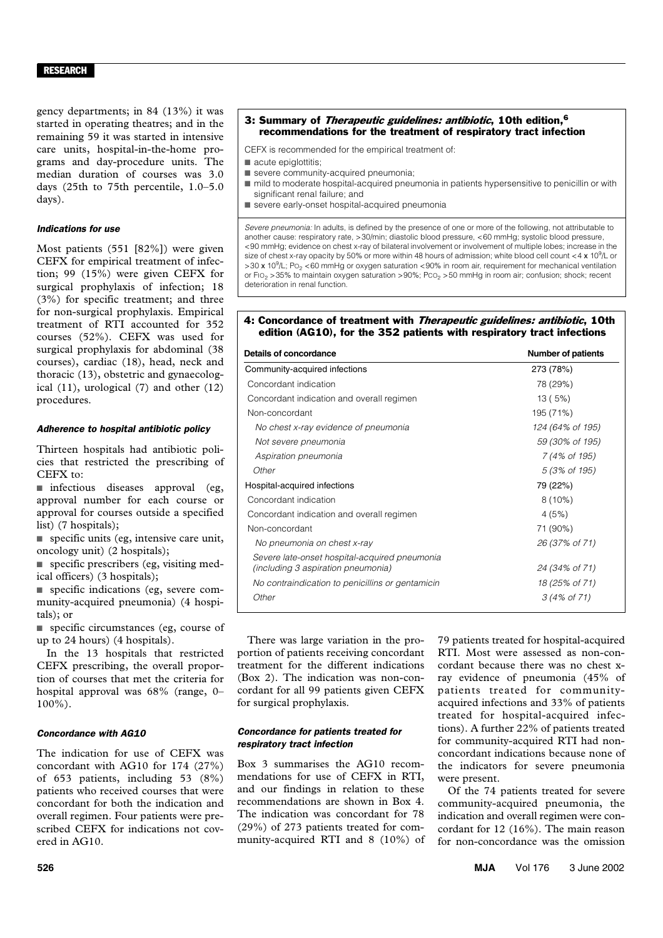gency departments; in 84 (13%) it was started in operating theatres; and in the remaining 59 it was started in intensive care units, hospital-in-the-home programs and day-procedure units. The median duration of courses was 3.0 days (25th to 75th percentile, 1.0–5.0 days).

#### *Indications for use*

Most patients (551 [82%]) were given CEFX for empirical treatment of infection; 99 (15%) were given CEFX for surgical prophylaxis of infection; 18 (3%) for specific treatment; and three for non-surgical prophylaxis. Empirical treatment of RTI accounted for 352 courses (52%). CEFX was used for surgical prophylaxis for abdominal (38 courses), cardiac (18), head, neck and thoracic (13), obstetric and gynaecological (11), urological (7) and other (12) procedures.

#### *Adherence to hospital antibiotic policy*

Thirteen hospitals had antibiotic policies that restricted the prescribing of  $C$ FFX to:

■ infectious diseases approval (eg, approval number for each course or approval for courses outside a specified list) (7 hospitals);

■ specific units (eg, intensive care unit, oncology unit) (2 hospitals);

■ specific prescribers (eg, visiting medical officers) (3 hospitals);

■ specific indications (eg, severe community-acquired pneumonia) (4 hospitals); or

■ specific circumstances (eg, course of up to 24 hours) (4 hospitals).

In the 13 hospitals that restricted CEFX prescribing, the overall proportion of courses that met the criteria for hospital approval was 68% (range, 0– 100%).

#### *Concordance with AG10*

The indication for use of CEFX was concordant with AG10 for 174 (27%) of 653 patients, including 53 (8%) patients who received courses that were concordant for both the indication and overall regimen. Four patients were prescribed CEFX for indications not covered in AG10.

#### 3: Summary of Therapeutic guidelines: antibiotic, 10th edition,<sup>6</sup> recommendations for the treatment of respiratory tract infection

CEFX is recommended for the empirical treatment of:

- acute epiglottitis:
- severe community-acquired pneumonia;
- mild to moderate hospital-acquired pneumonia in patients hypersensitive to penicillin or with significant renal failure; and
- severe early-onset hospital-acquired pneumonia

*Severe pneumonia:* In adults, is defined by the presence of one or more of the following, not attributable to another cause: respiratory rate, >30/min; diastolic blood pressure, <60 mmHg; systolic blood pressure, <90 mmHg; evidence on chest x-ray of bilateral involvement or involvement of multiple lobes; increase in the size of chest x-ray opacity by 50% or more within 48 hours of admission; white blood cell count <4  $\times$  10<sup>9</sup>/L or >30 x 10<sup>9</sup>/L; Po<sub>2</sub> <60 mmHg or oxygen saturation <90% in room air, requirement for mechanical ventilation or FIO<sub>2</sub> > 35% to maintain oxygen saturation > 90%; PCO<sub>2</sub> > 50 mmHg in room air; confusion; shock; recent deterioration in renal function.

#### 4: Concordance of treatment with Therapeutic guidelines: antibiotic, 10th edition (AG10), for the 352 patients with respiratory tract infections

| <b>Details of concordance</b>                                                       | Number of patients      |
|-------------------------------------------------------------------------------------|-------------------------|
| Community-acquired infections                                                       | 273 (78%)               |
| Concordant indication                                                               | 78 (29%)                |
| Concordant indication and overall regimen                                           | 13(5%)                  |
| Non-concordant                                                                      | 195 (71%)               |
| No chest x-ray evidence of pneumonia                                                | 124 (64% of 195)        |
| Not severe pneumonia                                                                | 59 (30% of 195)         |
| Aspiration pneumonia                                                                | 7 (4% of 195)           |
| Other                                                                               | 5 (3% of 195)           |
| Hospital-acquired infections                                                        | 79 (22%)                |
| Concordant indication                                                               | $8(10\%)$               |
| Concordant indication and overall regimen                                           | 4(5%)                   |
| Non-concordant                                                                      | 71 (90%)                |
| No pneumonia on chest x-ray                                                         | 26 (37% of 71)          |
| Severe late-onset hospital-acquired pneumonia<br>(including 3 aspiration pneumonia) | 24 (34% of 71)          |
| No contraindication to penicillins or gentamicin                                    | 18 (25% of 71)          |
| Other                                                                               | $3(4\% \text{ of } 71)$ |

There was large variation in the proportion of patients receiving concordant treatment for the different indications (Box 2). The indication was non-concordant for all 99 patients given CEFX for surgical prophylaxis.

#### *Concordance for patients treated for respiratory tract infection*

Box 3 summarises the AG10 recommendations for use of CEFX in RTI, and our findings in relation to these recommendations are shown in Box 4. The indication was concordant for 78 (29%) of 273 patients treated for community-acquired RTI and 8 (10%) of 79 patients treated for hospital-acquired RTI. Most were assessed as non-concordant because there was no chest xray evidence of pneumonia (45% of patients treated for communityacquired infections and 33% of patients treated for hospital-acquired infections). A further 22% of patients treated for community-acquired RTI had nonconcordant indications because none of the indicators for severe pneumonia were present.

Of the 74 patients treated for severe community-acquired pneumonia, the indication and overall regimen were concordant for 12 (16%). The main reason for non-concordance was the omission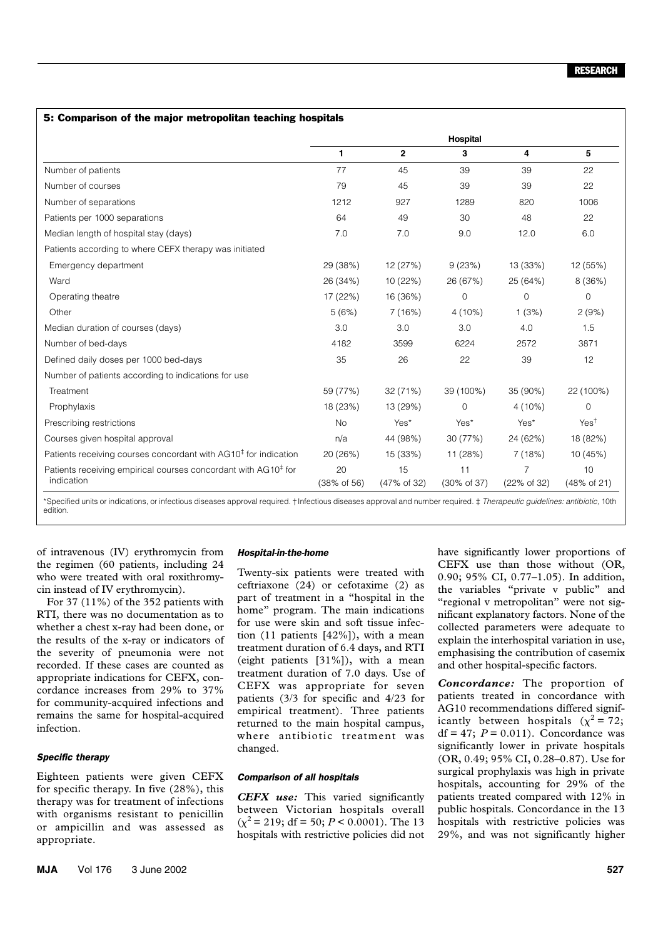#### 5: Comparison of the major metropolitan teaching hospitals

|                                                                                          | Hospital          |                   |                               |                  |                   |  |
|------------------------------------------------------------------------------------------|-------------------|-------------------|-------------------------------|------------------|-------------------|--|
|                                                                                          | 1                 | $\mathbf{2}$      | 3                             | 4                | 5                 |  |
| Number of patients                                                                       | 77                | 45                | 39                            | 39               | 22                |  |
| Number of courses                                                                        | 79                | 45                | 39                            | 39               | 22                |  |
| Number of separations                                                                    | 1212              | 927               | 1289                          | 820              | 1006              |  |
| Patients per 1000 separations                                                            | 64                | 49                | 30                            | 48               | 22                |  |
| Median length of hospital stay (days)                                                    | 7.0               | 7.0               | 9.0                           | 12.0             | 6.0               |  |
| Patients according to where CEFX therapy was initiated                                   |                   |                   |                               |                  |                   |  |
| Emergency department                                                                     | 29 (38%)          | 12 (27%)          | 9(23%)                        | 13 (33%)         | 12 (55%)          |  |
| Ward                                                                                     | 26 (34%)          | 10 (22%)          | 26 (67%)                      | 25 (64%)         | 8 (36%)           |  |
| Operating theatre                                                                        | 17 (22%)          | 16 (36%)          | $\mathbf 0$                   | $\mathbf 0$      | 0                 |  |
| Other                                                                                    | 5(6%)             | 7(16%)            | $4(10\%)$                     | 1(3%)            | 2(9%)             |  |
| Median duration of courses (days)                                                        | 3.0               | 3.0               | 3.0                           | 4.0              | 1.5               |  |
| Number of bed-days                                                                       | 4182              | 3599              | 6224                          | 2572             | 3871              |  |
| Defined daily doses per 1000 bed-days                                                    | 35                | 26                | 22                            | 39               | 12                |  |
| Number of patients according to indications for use                                      |                   |                   |                               |                  |                   |  |
| Treatment                                                                                | 59 (77%)          | 32 (71%)          | 39 (100%)                     | 35 (90%)         | 22 (100%)         |  |
| Prophylaxis                                                                              | 18 (23%)          | 13 (29%)          | $\mathbf 0$                   | $4(10\%)$        | $\Omega$          |  |
| Prescribing restrictions                                                                 | <b>No</b>         | Yes*              | Yes*                          | Yes*             | Yes <sup>†</sup>  |  |
| Courses given hospital approval                                                          | n/a               | 44 (98%)          | 30 (77%)                      | 24 (62%)         | 18 (82%)          |  |
| Patients receiving courses concordant with AG10 <sup>‡</sup> for indication              | 20 (26%)          | 15 (33%)          | 11 (28%)                      | 7(18%)           | 10 (45%)          |  |
| Patients receiving empirical courses concordant with AG10 <sup>‡</sup> for<br>indication | 20<br>(38% of 56) | 15<br>(47% of 32) | 11<br>$(30\% \text{ of } 37)$ | 7<br>(22% of 32) | 10<br>(48% of 21) |  |
|                                                                                          |                   |                   |                               |                  |                   |  |

\*Specified units or indications, or infectious diseases approval required. †Infectious diseases approval and number required. ‡ *Therapeutic guidelines: antibiotic,* 10th edition.

of intravenous (IV) erythromycin from the regimen (60 patients, including 24 who were treated with oral roxithromycin instead of IV erythromycin).

For 37 (11%) of the 352 patients with RTI, there was no documentation as to whether a chest x-ray had been done, or the results of the x-ray or indicators of the severity of pneumonia were not recorded. If these cases are counted as appropriate indications for CEFX, concordance increases from 29% to 37% for community-acquired infections and remains the same for hospital-acquired infection.

#### *Specific therapy*

Eighteen patients were given CEFX for specific therapy. In five (28%), this therapy was for treatment of infections with organisms resistant to penicillin or ampicillin and was assessed as appropriate.

#### *Hospital-in-the-home*

Twenty-six patients were treated with ceftriaxone (24) or cefotaxime (2) as part of treatment in a "hospital in the home" program. The main indications for use were skin and soft tissue infection (11 patients [42%]), with a mean treatment duration of 6.4 days, and RTI (eight patients [31%]), with a mean treatment duration of 7.0 days. Use of CEFX was appropriate for seven patients (3/3 for specific and 4/23 for empirical treatment). Three patients returned to the main hospital campus, where antibiotic treatment was changed.

#### *Comparison of all hospitals*

*CEFX use:* This varied significantly between Victorian hospitals overall  $(\chi^2 = 219; df = 50; P < 0.0001)$ . The 13 hospitals with restrictive policies did not have significantly lower proportions of CEFX use than those without (OR, 0.90; 95% CI, 0.77–1.05). In addition, the variables "private v public" and "regional v metropolitan" were not significant explanatory factors. None of the collected parameters were adequate to explain the interhospital variation in use, emphasising the contribution of casemix and other hospital-specific factors.

*Concordance:* The proportion of patients treated in concordance with AG10 recommendations differed significantly between hospitals  $(\chi^2 = 72;$  $df = 47$ ;  $P = 0.011$ ). Concordance was significantly lower in private hospitals (OR, 0.49; 95% CI, 0.28–0.87). Use for surgical prophylaxis was high in private hospitals, accounting for 29% of the patients treated compared with 12% in public hospitals. Concordance in the 13 hospitals with restrictive policies was 29%, and was not significantly higher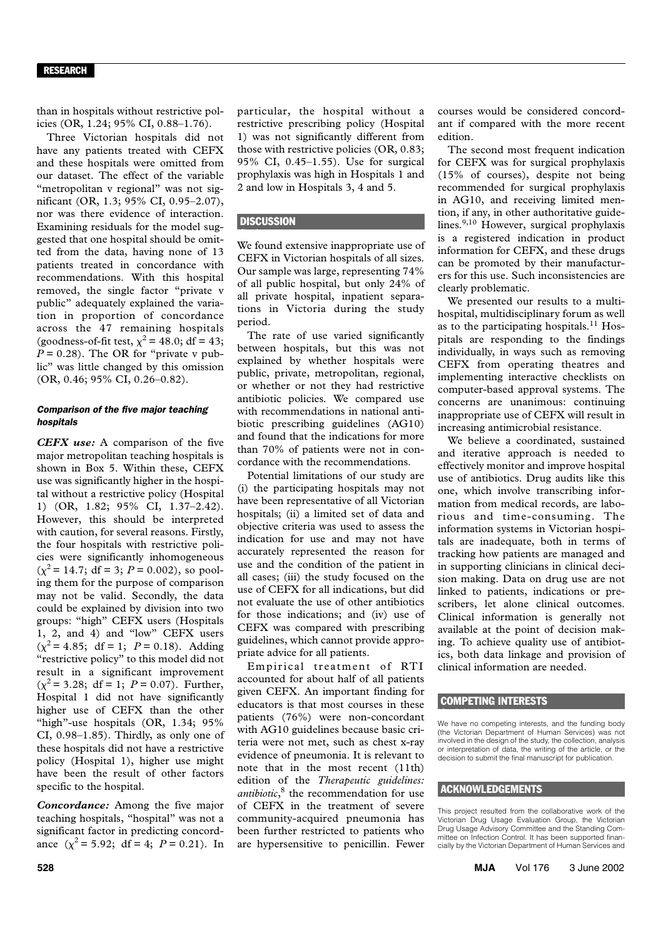#### RESEARCH

than in hospitals without restrictive policies (OR, 1.24; 95% CI, 0.88–1.76).

Three Victorian hospitals did not have any patients treated with CEFX and these hospitals were omitted from our dataset. The effect of the variable "metropolitan v regional" was not significant (OR, 1.3; 95% CI, 0.95–2.07), nor was there evidence of interaction. Examining residuals for the model suggested that one hospital should be omitted from the data, having none of 13 patients treated in concordance with recommendations. With this hospital removed, the single factor "private v public" adequately explained the variation in proportion of concordance across the 47 remaining hospitals (goodness-of-fit test,  $\chi^2$  = 48.0; df = 43;  $P = 0.28$ ). The OR for "private v public" was little changed by this omission (OR, 0.46; 95% CI, 0.26–0.82).

#### *Comparison of the five major teaching hospitals*

*CEFX use:* A comparison of the five major metropolitan teaching hospitals is shown in Box 5. Within these, CEFX use was significantly higher in the hospital without a restrictive policy (Hospital 1) (OR, 1.82; 95% CI, 1.37–2.42). However, this should be interpreted with caution, for several reasons. Firstly, the four hospitals with restrictive policies were significantly inhomogeneous  $(\chi^2 = 14.7; df = 3; P = 0.002)$ , so pooling them for the purpose of comparison may not be valid. Secondly, the data could be explained by division into two groups: "high" CEFX users (Hospitals 1, 2, and 4) and "low" CEFX users  $(\chi^2 = 4.85; df = 1; P = 0.18)$ . Adding "restrictive policy" to this model did not result in a significant improvement  $(\chi^2 = 3.28; df = 1; P = 0.07)$ . Further, Hospital 1 did not have significantly higher use of CEFX than the other "high"-use hospitals (OR, 1.34; 95% CI, 0.98–1.85). Thirdly, as only one of these hospitals did not have a restrictive policy (Hospital 1), higher use might have been the result of other factors specific to the hospital.

*Concordance:* Among the five major teaching hospitals, "hospital" was not a significant factor in predicting concordance  $(\chi^2 = 5.92; df = 4; P = 0.21)$ . In

particular, the hospital without a restrictive prescribing policy (Hospital 1) was not significantly different from those with restrictive policies (OR, 0.83; 95% CI, 0.45–1.55). Use for surgical prophylaxis was high in Hospitals 1 and 2 and low in Hospitals 3, 4 and 5.

#### **DISCUSSION**

We found extensive inappropriate use of CEFX in Victorian hospitals of all sizes. Our sample was large, representing 74% of all public hospital, but only 24% of all private hospital, inpatient separations in Victoria during the study period.

The rate of use varied significantly between hospitals, but this was not explained by whether hospitals were public, private, metropolitan, regional, or whether or not they had restrictive antibiotic policies. We compared use with recommendations in national antibiotic prescribing guidelines (AG10) and found that the indications for more than 70% of patients were not in concordance with the recommendations.

Potential limitations of our study are (i) the participating hospitals may not have been representative of all Victorian hospitals; (ii) a limited set of data and objective criteria was used to assess the indication for use and may not have accurately represented the reason for use and the condition of the patient in all cases; (iii) the study focused on the use of CEFX for all indications, but did not evaluate the use of other antibiotics for those indications; and (iv) use of CEFX was compared with prescribing guidelines, which cannot provide appropriate advice for all patients.

Empirical treatment of RTI accounted for about half of all patients given CEFX. An important finding for educators is that most courses in these patients (76%) were non-concordant with AG10 guidelines because basic criteria were not met, such as chest x-ray evidence of pneumonia. It is relevant to note that in the most recent (11th) edition of the *Therapeutic guidelines: antibiotic*, 8 the recommendation for use of CEFX in the treatment of severe community-acquired pneumonia has been further restricted to patients who are hypersensitive to penicillin. Fewer

courses would be considered concordant if compared with the more recent edition.

The second most frequent indication for CEFX was for surgical prophylaxis (15% of courses), despite not being recommended for surgical prophylaxis in AG10, and receiving limited mention, if any, in other authoritative guidelines.<sup>9,10</sup> However, surgical prophylaxis is a registered indication in product information for CEFX, and these drugs can be promoted by their manufacturers for this use. Such inconsistencies are clearly problematic.

We presented our results to a multihospital, multidisciplinary forum as well as to the participating hospitals.<sup>11</sup> Hospitals are responding to the findings individually, in ways such as removing CEFX from operating theatres and implementing interactive checklists on computer-based approval systems. The concerns are unanimous: continuing inappropriate use of CEFX will result in increasing antimicrobial resistance.

We believe a coordinated, sustained and iterative approach is needed to effectively monitor and improve hospital use of antibiotics. Drug audits like this one, which involve transcribing information from medical records, are laborious and time-consuming. The information systems in Victorian hospitals are inadequate, both in terms of tracking how patients are managed and in supporting clinicians in clinical decision making. Data on drug use are not linked to patients, indications or prescribers, let alone clinical outcomes. Clinical information is generally not available at the point of decision making. To achieve quality use of antibiotics, both data linkage and provision of clinical information are needed.

#### COMPETING INTERESTS

We have no competing interests, and the funding body (the Victorian Department of Human Services) was not involved in the design of the study, the collection, analysis or interpretation of data, the writing of the article, or the decision to submit the final manuscript for publication.

#### ACKNOWLEDGEMENTS

This project resulted from the collaborative work of the Victorian Drug Usage Evaluation Group, the Victorian Drug Usage Advisory Committee and the Standing Committee on Infection Control. It has been supported financially by the Victorian Department of Human Services and

**528 MJA** Vol 176 3 June 2002